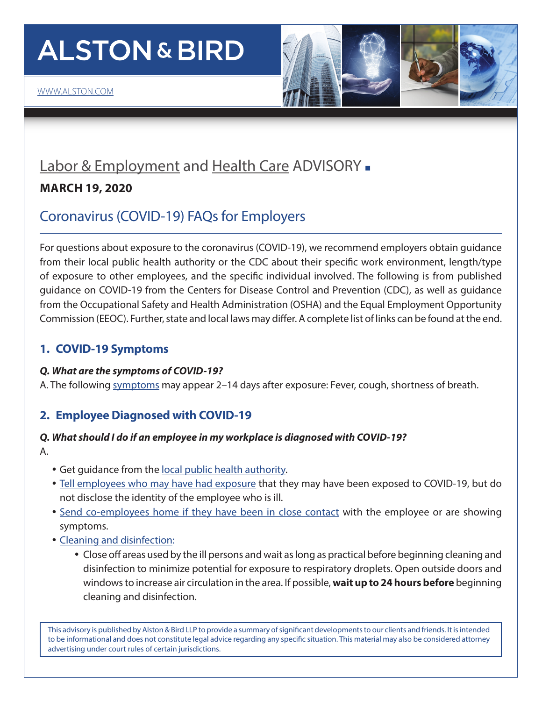# **ALSTON & BIRD**



# [Labor & Employment](http://www.alston.com/services/litigation/labor-employment/) and [Health Care](https://www.alston.com/en/services/industries/health-care-life-sciences/health-care) ADVISORY -

# **MARCH 19, 2020**

# Coronavirus (COVID-19) FAQs for Employers

For questions about exposure to the coronavirus (COVID-19), we recommend employers obtain guidance from their local public health authority or the CDC about their specific work environment, length/type of exposure to other employees, and the specific individual involved. The following is from published guidance on COVID-19 from the Centers for Disease Control and Prevention (CDC), as well as guidance from the Occupational Safety and Health Administration (OSHA) and the Equal Employment Opportunity Commission (EEOC). Further, state and local laws may differ. A complete list of links can be found at the end.

# **1. COVID-19 Symptoms**

# *Q. What are the symptoms of COVID-19?*

A. The following [symptoms](https://www.cdc.gov/coronavirus/2019-ncov/about/symptoms.html) may appear 2–14 days after exposure: Fever, cough, shortness of breath.

# **2. Employee Diagnosed with COVID-19**

# *Q. What should I do if an employee in my workplace is diagnosed with COVID-19?*

- A.
- Get quidance from the [local public health authority.](https://www.naccho.org/membership/lhd-directory)
- [Tell employees who may have had exposure](https://www.cdc.gov/coronavirus/2019-ncov/community/guidance-business-response.html) that they may have been exposed to COVID-19, but do not disclose the identity of the employee who is ill.
- [Send co-employees home if they have been in close contact](https://www.cdc.gov/coronavirus/2019-ncov/php/risk-assessment.html) with the employee or are showing symptoms.
- [Cleaning and disinfection:](https://www.cdc.gov/coronavirus/2019-ncov/community/organizations/cleaning-disinfection.html#Cleaning)
	- Close off areas used by the ill persons and wait as long as practical before beginning cleaning and disinfection to minimize potential for exposure to respiratory droplets. Open outside doors and windows to increase air circulation in the area. If possible, **wait up to 24 hours before** beginning cleaning and disinfection.

This advisory is published by Alston & Bird LLP to provide a summary of significant developments to our clients and friends. It is intended to be informational and does not constitute legal advice regarding any specific situation. This material may also be considered attorney advertising under court rules of certain jurisdictions.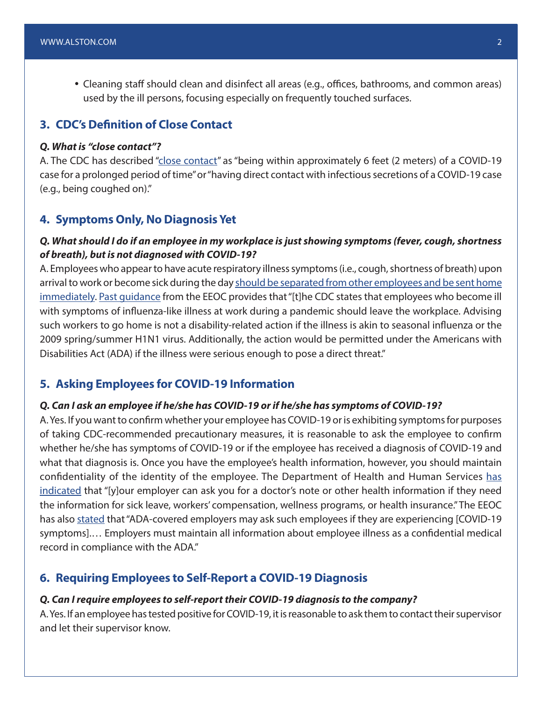• Cleaning staff should clean and disinfect all areas (e.g., offices, bathrooms, and common areas) used by the ill persons, focusing especially on frequently touched surfaces.

## **3. CDC's Definition of Close Contact**

#### *Q. What is "close contact"?*

A. The CDC has described ["close contact"](https://www.cdc.gov/coronavirus/2019-ncov/php/risk-assessment.html) as "being within approximately 6 feet (2 meters) of a COVID-19 case for a prolonged period of time" or "having direct contact with infectious secretions of a COVID-19 case (e.g., being coughed on)."

#### **4. Symptoms Only, No Diagnosis Yet**

### *Q. What should I do if an employee in my workplace is just showing symptoms (fever, cough, shortness of breath), but is not diagnosed with COVID-19?*

A. Employees who appear to have acute respiratory illness symptoms (i.e., cough, shortness of breath) upon arrival to work or become sick during the day [should be separated from other employees and be sent home](https://www.cdc.gov/coronavirus/2019-ncov/community/guidance-business-response.html) [immediately](https://www.cdc.gov/coronavirus/2019-ncov/community/guidance-business-response.html). [Past guidance](https://www.eeoc.gov/facts/pandemic_flu.html) from the EEOC provides that "[t]he CDC states that employees who become ill with symptoms of influenza-like illness at work during a pandemic should leave the workplace. Advising such workers to go home is not a disability-related action if the illness is akin to seasonal influenza or the 2009 spring/summer H1N1 virus. Additionally, the action would be permitted under the Americans with Disabilities Act (ADA) if the illness were serious enough to pose a direct threat."

#### **5. Asking Employees for COVID-19 Information**

#### *Q. Can I ask an employee if he/she has COVID-19 or if he/she has symptoms of COVID-19?*

A. Yes. If you want to confirm whether your employee has COVID-19 or is exhibiting symptoms for purposes of taking CDC-recommended precautionary measures, it is reasonable to ask the employee to confirm whether he/she has symptoms of COVID-19 or if the employee has received a diagnosis of COVID-19 and what that diagnosis is. Once you have the employee's health information, however, you should maintain confidentiality of the identity of the employee. The Department of Health and Human Services [has](https://www.hhs.gov/hipaa/for-individuals/employers-health-information-workplace/index.html) [indicated](https://www.hhs.gov/hipaa/for-individuals/employers-health-information-workplace/index.html) that "[y]our employer can ask you for a doctor's note or other health information if they need the information for sick leave, workers' compensation, wellness programs, or health insurance." The EEOC has also [stated](https://www.eeoc.gov/facts/pandemic_flu.html) that "ADA-covered employers may ask such employees if they are experiencing [COVID-19] symptoms].… Employers must maintain all information about employee illness as a confidential medical record in compliance with the ADA."

#### **6. Requiring Employees to Self-Report a COVID-19 Diagnosis**

#### *Q. Can I require employees to self-report their COVID-19 diagnosis to the company?*

A. Yes. If an employee has tested positive for COVID-19, it is reasonable to ask them to contact their supervisor and let their supervisor know.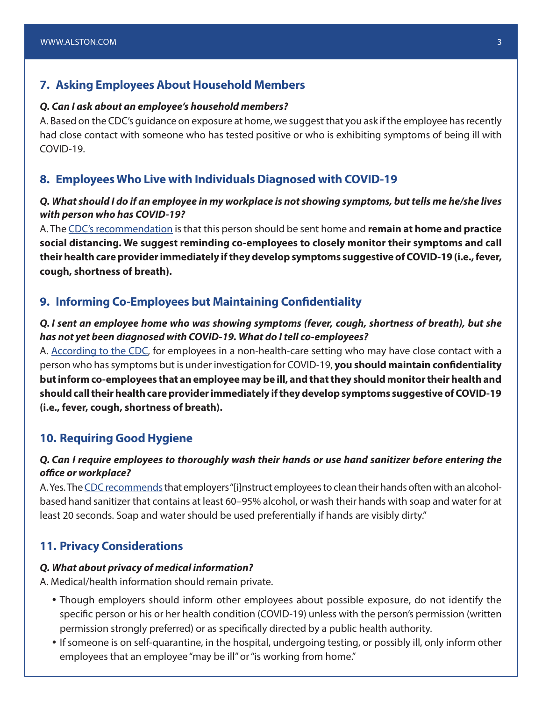#### **7. Asking Employees About Household Members**

#### *Q. Can I ask about an employee's household members?*

A. Based on the CDC's guidance on exposure at home, we suggest that you ask if the employee has recently had close contact with someone who has tested positive or who is exhibiting symptoms of being ill with COVID-19.

#### **8. Employees Who Live with Individuals Diagnosed with COVID-19**

#### *Q. What should I do if an employee in my workplace is not showing symptoms, but tells me he/she lives with person who has COVID-19?*

A. The [CDC's recommendation](https://www.cdc.gov/coronavirus/2019-ncov/php/risk-assessment.html) is that this person should be sent home and **remain at home and practice social distancing. We suggest reminding co-employees to closely monitor their symptoms and call their health care provider immediately if they develop symptoms suggestive of COVID-19 (i.e., fever, cough, shortness of breath).**

#### **9. Informing Co-Employees but Maintaining Confidentiality**

#### *Q. I sent an employee home who was showing symptoms (fever, cough, shortness of breath), but she has not yet been diagnosed with COVID-19. What do I tell co-employees?*

A. [According to the CDC](https://www.cdc.gov/coronavirus/2019-ncov/hcp/guidance-prevent-spread.html), for employees in a non-health-care setting who may have close contact with a person who has symptoms but is under investigation for COVID-19, **you should maintain confidentiality but inform co-employees that an employee may be ill, and that they should monitor their health and should call their health care provider immediately if they develop symptoms suggestive of COVID-19 (i.e., fever, cough, shortness of breath).**

#### **10. Requiring Good Hygiene**

#### *Q. Can I require employees to thoroughly wash their hands or use hand sanitizer before entering the office or workplace?*

A. Yes. The [CDC recommends](https://www.cdc.gov/coronavirus/2019-ncov/community/guidance-business-response.html) that employers "[i]nstruct employees to clean their hands often with an alcoholbased hand sanitizer that contains at least 60–95% alcohol, or wash their hands with soap and water for at least 20 seconds. Soap and water should be used preferentially if hands are visibly dirty."

#### **11. Privacy Considerations**

#### *Q. What about privacy of medical information?*

A. Medical/health information should remain private.

- Though employers should inform other employees about possible exposure, do not identify the specific person or his or her health condition (COVID-19) unless with the person's permission (written permission strongly preferred) or as specifically directed by a public health authority.
- If someone is on self-quarantine, in the hospital, undergoing testing, or possibly ill, only inform other employees that an employee "may be ill" or "is working from home."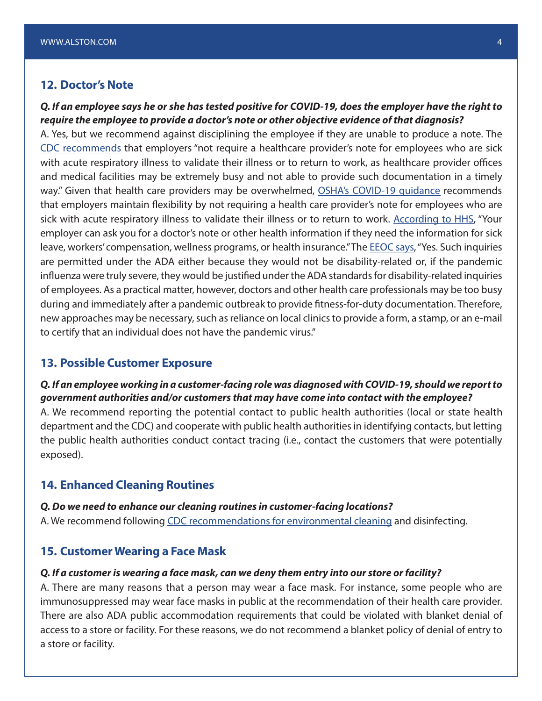#### **12. Doctor's Note**

*Q. If an employee says he or she has tested positive for COVID-19, does the employer have the right to require the employee to provide a doctor's note or other objective evidence of that diagnosis?* 

A. Yes, but we recommend against disciplining the employee if they are unable to produce a note. The [CDC recommends](https://www.cdc.gov/coronavirus/2019-ncov/community/guidance-business-response.html) that employers "not require a healthcare provider's note for employees who are sick with acute respiratory illness to validate their illness or to return to work, as healthcare provider offices and medical facilities may be extremely busy and not able to provide such documentation in a timely way." Given that health care providers may be overwhelmed, [OSHA's COVID-19 guidance](https://www.osha.gov/Publications/OSHA3990.pdf) recommends that employers maintain flexibility by not requiring a health care provider's note for employees who are sick with acute respiratory illness to validate their illness or to return to work. [According to HHS](https://www.hhs.gov/hipaa/for-individuals/employers-health-information-workplace/index.html), "Your employer can ask you for a doctor's note or other health information if they need the information for sick leave, workers' compensation, wellness programs, or health insurance." The **EEOC says**, "Yes. Such inquiries are permitted under the ADA either because they would not be disability-related or, if the pandemic influenza were truly severe, they would be justified under the ADA standards for disability-related inquiries of employees. As a practical matter, however, doctors and other health care professionals may be too busy during and immediately after a pandemic outbreak to provide fitness-for-duty documentation. Therefore, new approaches may be necessary, such as reliance on local clinics to provide a form, a stamp, or an e-mail to certify that an individual does not have the pandemic virus."

#### **13. Possible Customer Exposure**

### *Q. If an employee working in a customer-facing role was diagnosed with COVID-19, should we report to government authorities and/or customers that may have come into contact with the employee?*

A. We recommend reporting the potential contact to public health authorities (local or state health department and the CDC) and cooperate with public health authorities in identifying contacts, but letting the public health authorities conduct contact tracing (i.e., contact the customers that were potentially exposed).

#### **14. Enhanced Cleaning Routines**

#### *Q. Do we need to enhance our cleaning routines in customer-facing locations?*

A. We recommend following [CDC recommendations for environmental cleaning](https://www.cdc.gov/coronavirus/2019-ncov/community/organizations/cleaning-disinfection.html) and disinfecting.

#### **15. Customer Wearing a Face Mask**

#### *Q. If a customer is wearing a face mask, can we deny them entry into our store or facility?*

A. There are many reasons that a person may wear a face mask. For instance, some people who are immunosuppressed may wear face masks in public at the recommendation of their health care provider. There are also ADA public accommodation requirements that could be violated with blanket denial of access to a store or facility. For these reasons, we do not recommend a blanket policy of denial of entry to a store or facility.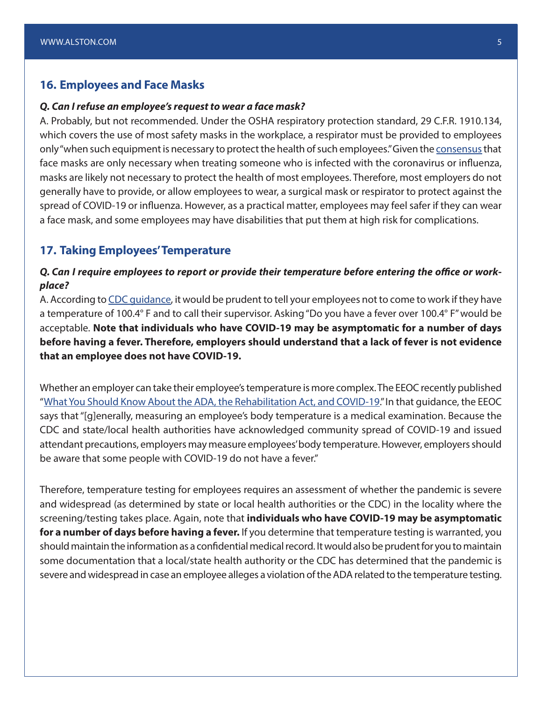#### **16. Employees and Face Masks**

#### *Q. Can I refuse an employee's request to wear a face mask?*

A. Probably, but not recommended. Under the OSHA respiratory protection standard, 29 C.F.R. 1910.134, which covers the use of most safety masks in the workplace, a respirator must be provided to employees only "when such equipment is necessary to protect the health of such employees." Given the [consensus](https://www.who.int/emergencies/diseases/novel-coronavirus-2019/advice-for-public/when-and-how-to-use-masks) that face masks are only necessary when treating someone who is infected with the coronavirus or influenza, masks are likely not necessary to protect the health of most employees. Therefore, most employers do not generally have to provide, or allow employees to wear, a surgical mask or respirator to protect against the spread of COVID-19 or influenza. However, as a practical matter, employees may feel safer if they can wear a face mask, and some employees may have disabilities that put them at high risk for complications.

#### **17. Taking Employees' Temperature**

#### *Q. Can I require employees to report or provide their temperature before entering the office or workplace?*

A. According to [CDC guidance](https://www.cdc.gov/coronavirus/2019-ncov/community/guidance-business-response.html), it would be prudent to tell your employees not to come to work if they have a temperature of 100.4° F and to call their supervisor. Asking "Do you have a fever over 100.4° F" would be acceptable. **Note that individuals who have COVID-19 may be asymptomatic for a number of days before having a fever. Therefore, employers should understand that a lack of fever is not evidence that an employee does not have COVID-19.**

Whether an employer can take their employee's temperature is more complex. The EEOC recently published "[What You Should Know About the ADA, the Rehabilitation Act, and COVID-19](https://www.eeoc.gov/eeoc/newsroom/wysk/wysk_ada_rehabilitaion_act_coronavirus.cfm)." In that guidance, the EEOC says that "[g]enerally, measuring an employee's body temperature is a medical examination. Because the CDC and state/local health authorities have acknowledged community spread of COVID-19 and issued attendant precautions, employers may measure employees' body temperature. However, employers should be aware that some people with COVID-19 do not have a fever."

Therefore, temperature testing for employees requires an assessment of whether the pandemic is severe and widespread (as determined by state or local health authorities or the CDC) in the locality where the screening/testing takes place. Again, note that **individuals who have COVID-19 may be asymptomatic for a number of days before having a fever.** If you determine that temperature testing is warranted, you should maintain the information as a confidential medical record. It would also be prudent for you to maintain some documentation that a local/state health authority or the CDC has determined that the pandemic is severe and widespread in case an employee alleges a violation of the ADA related to the temperature testing.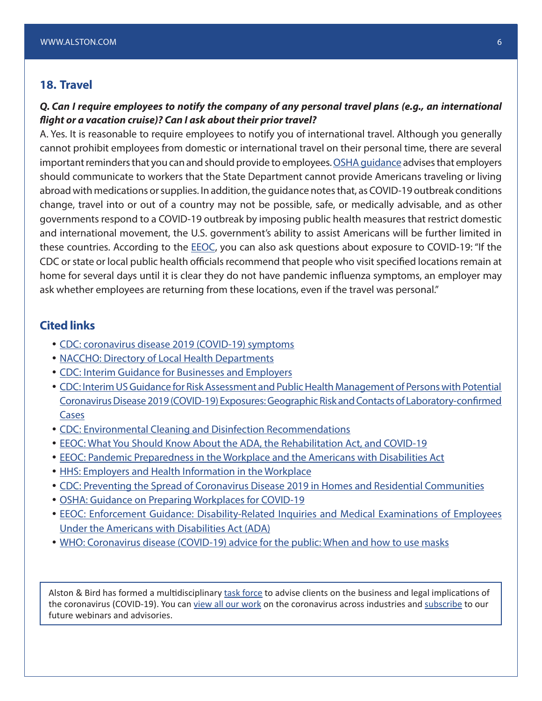## **18. Travel**

#### *Q. Can I require employees to notify the company of any personal travel plans (e.g., an international flight or a vacation cruise)? Can I ask about their prior travel?*

A. Yes. It is reasonable to require employees to notify you of international travel. Although you generally cannot prohibit employees from domestic or international travel on their personal time, there are several important reminders that you can and should provide to employees. [OSHA guidance](https://www.osha.gov/Publications/OSHA3990.pdf) advises that employers should communicate to workers that the State Department cannot provide Americans traveling or living abroad with medications or supplies. In addition, the guidance notes that, as COVID-19 outbreak conditions change, travel into or out of a country may not be possible, safe, or medically advisable, and as other governments respond to a COVID-19 outbreak by imposing public health measures that restrict domestic and international movement, the U.S. government's ability to assist Americans will be further limited in these countries. According to the **[EEOC](https://www.eeoc.gov/facts/pandemic_flu.html)**, you can also ask questions about exposure to COVID-19: "If the CDC or state or local public health officials recommend that people who visit specified locations remain at home for several days until it is clear they do not have pandemic influenza symptoms, an employer may ask whether employees are returning from these locations, even if the travel was personal."

### **Cited links**

- [CDC: coronavirus disease 2019 \(COVID-19\) symptoms](https://www.cdc.gov/coronavirus/2019-ncov/about/symptoms.html)
- [NACCHO: Directory of Local Health Departments](https://www.naccho.org/membership/lhd-directory)
- [CDC: Interim Guidance for Businesses and Employers](https://www.cdc.gov/coronavirus/2019-ncov/community/guidance-business-response.html)
- y [CDC: Interim US Guidance for Risk Assessment and Public Health Management of Persons with Potential](https://www.cdc.gov/coronavirus/2019-ncov/php/risk-assessment.html)  [Coronavirus Disease 2019 \(COVID-19\) Exposures: Geographic Risk and Contacts of Laboratory-confirmed](https://www.cdc.gov/coronavirus/2019-ncov/php/risk-assessment.html)  [Cases](https://www.cdc.gov/coronavirus/2019-ncov/php/risk-assessment.html)
- [CDC: Environmental Cleaning and Disinfection Recommendations](https://www.cdc.gov/coronavirus/2019-ncov/community/organizations/cleaning-disinfection.html)
- [EEOC: What You Should Know About the ADA, the Rehabilitation Act, and COVID-19](https://www.eeoc.gov/eeoc/newsroom/wysk/wysk_ada_rehabilitaion_act_coronavirus.cfm)
- [EEOC: Pandemic Preparedness in the Workplace and the Americans with Disabilities Act](https://www.eeoc.gov/facts/pandemic_flu.html)
- [HHS: Employers and Health Information in the Workplace](https://www.hhs.gov/hipaa/for-individuals/employers-health-information-workplace/index.html)
- [CDC: Preventing the Spread of Coronavirus Disease 2019 in Homes and Residential Communities](https://www.cdc.gov/coronavirus/2019-ncov/hcp/guidance-prevent-spread.html)
- [OSHA: Guidance on Preparing Workplaces for COVID-19](https://www.osha.gov/Publications/OSHA3990.pdf)
- **EEOC: Enforcement Guidance: Disability-Related Inquiries and Medical Examinations of Employees** [Under the Americans with Disabilities Act \(ADA\)](https://www.eeoc.gov/policy/docs/guidance-inquiries.html)
- [WHO: Coronavirus disease \(COVID-19\) advice for the public: When and how to use masks](https://www.who.int/emergencies/diseases/novel-coronavirus-2019/advice-for-public/when-and-how-to-use-masks)

Alston & Bird has formed a multidisciplinary [task force](https://www.alston.com/en/resources/coronavirus/overview) to advise clients on the business and legal implications of the coronavirus (COVID-19). You can [view all our work](https://www.alston.com/en/insights/?keyword=Coronavirus&reload=false&scroll=499.7685546875) on the coronavirus across industries and [subscribe](https://www.alston.com/en/resources/subscriptions-form) to our future webinars and advisories.